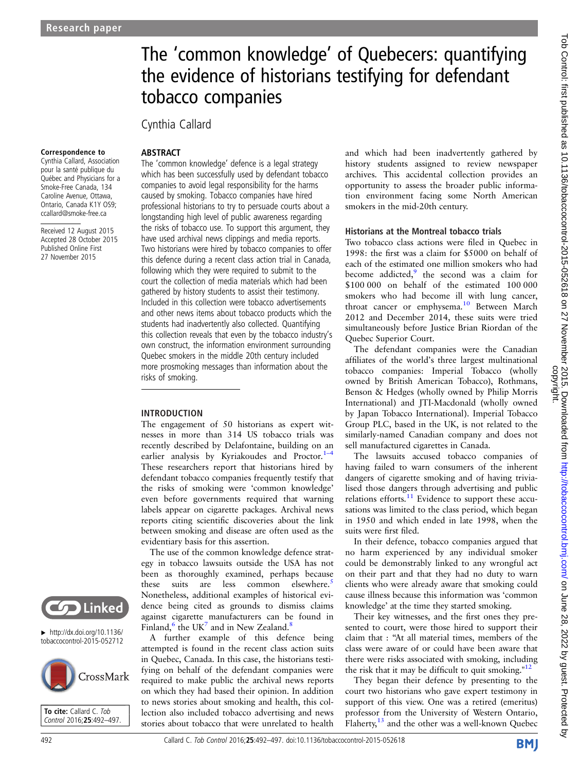# The 'common knowledge' of Quebecers: quantifying the evidence of historians testifying for defendant tobacco companies

# Cynthia Callard

**ABSTRACT** 

#### Correspondence to

Cynthia Callard, Association pour la santé publique du Québec and Physicians for a Smoke-Free Canada, 134 Caroline Avenue, Ottawa, Ontario, Canada K1Y OS9; ccallard@smoke-free.ca

Received 12 August 2015 Accepted 28 October 2015 Published Online First 27 November 2015

The 'common knowledge' defence is a legal strategy which has been successfully used by defendant tobacco companies to avoid legal responsibility for the harms caused by smoking. Tobacco companies have hired professional historians to try to persuade courts about a longstanding high level of public awareness regarding the risks of tobacco use. To support this argument, they have used archival news clippings and media reports. Two historians were hired by tobacco companies to offer this defence during a recent class action trial in Canada, following which they were required to submit to the court the collection of media materials which had been gathered by history students to assist their testimony. Included in this collection were tobacco advertisements and other news items about tobacco products which the students had inadvertently also collected. Quantifying this collection reveals that even by the tobacco industry's own construct, the information environment surrounding Quebec smokers in the middle 20th century included more prosmoking messages than information about the risks of smoking.

#### INTRODUCTION

The engagement of 50 historians as expert witnesses in more than 314 US tobacco trials was recently described by Delafontaine, building on an earlier analysis by Kyriakoudes and Proctor. $1-4$ These researchers report that historians hired by defendant tobacco companies frequently testify that the risks of smoking were 'common knowledge' even before governments required that warning labels appear on cigarette packages. Archival news reports citing scientific discoveries about the link between smoking and disease are often used as the evidentiary basis for this assertion.

The use of the common knowledge defence strategy in tobacco lawsuits outside the USA has not been as thoroughly examined, perhaps because these suits are less common elsewhere.<sup>[5](#page-4-0)</sup> Nonetheless, additional examples of historical evidence being cited as grounds to dismiss claims against cigarette manufacturers can be found in Finland, $^6$  $^6$  the UK<sup>7</sup> and in New Zealand.<sup>[8](#page-4-0)</sup>

A further example of this defence being attempted is found in the recent class action suits in Quebec, Canada. In this case, the historians testifying on behalf of the defendant companies were required to make public the archival news reports on which they had based their opinion. In addition to news stories about smoking and health, this collection also included tobacco advertising and news stories about tobacco that were unrelated to health

and which had been inadvertently gathered by history students assigned to review newspaper archives. This accidental collection provides an opportunity to assess the broader public information environment facing some North American smokers in the mid-20th century.

#### Historians at the Montreal tobacco trials

Two tobacco class actions were filed in Quebec in 1998: the first was a claim for \$5000 on behalf of each of the estimated one million smokers who had become addicted, $9$  the second was a claim for \$100 000 on behalf of the estimated 100 000 smokers who had become ill with lung cancer, throat cancer or emphysema.<sup>[10](#page-4-0)</sup> Between March 2012 and December 2014, these suits were tried simultaneously before Justice Brian Riordan of the Quebec Superior Court.

The defendant companies were the Canadian affiliates of the world's three largest multinational tobacco companies: Imperial Tobacco (wholly owned by British American Tobacco), Rothmans, Benson & Hedges (wholly owned by Philip Morris International) and JTI-Macdonald (wholly owned by Japan Tobacco International). Imperial Tobacco Group PLC, based in the UK, is not related to the similarly-named Canadian company and does not sell manufactured cigarettes in Canada.

The lawsuits accused tobacco companies of having failed to warn consumers of the inherent dangers of cigarette smoking and of having trivialised those dangers through advertising and public relations efforts.<sup>[11](#page-4-0)</sup> Evidence to support these accusations was limited to the class period, which began in 1950 and which ended in late 1998, when the suits were first filed.

In their defence, tobacco companies argued that no harm experienced by any individual smoker could be demonstrably linked to any wrongful act on their part and that they had no duty to warn clients who were already aware that smoking could cause illness because this information was 'common knowledge' at the time they started smoking.

Their key witnesses, and the first ones they presented to court, were those hired to support their claim that : "At all material times, members of the class were aware of or could have been aware that there were risks associated with smoking, including the risk that it may be difficult to quit smoking." $12$ 

They began their defence by presenting to the court two historians who gave expert testimony in support of this view. One was a retired (emeritus) professor from the University of Western Ontario, Flaherty, $^{13}$  $^{13}$  $^{13}$  and the other was a well-known Quebec



 $\blacktriangleright$  [http://dx.doi.org/10.1136/](http://dx.doi.org/10.1136/tobaccocontrol-2015-052712) [tobaccocontrol-2015-052712](http://dx.doi.org/10.1136/tobaccocontrol-2015-052712)



To cite: Callard C. Tob Control 2016;25:492–497.

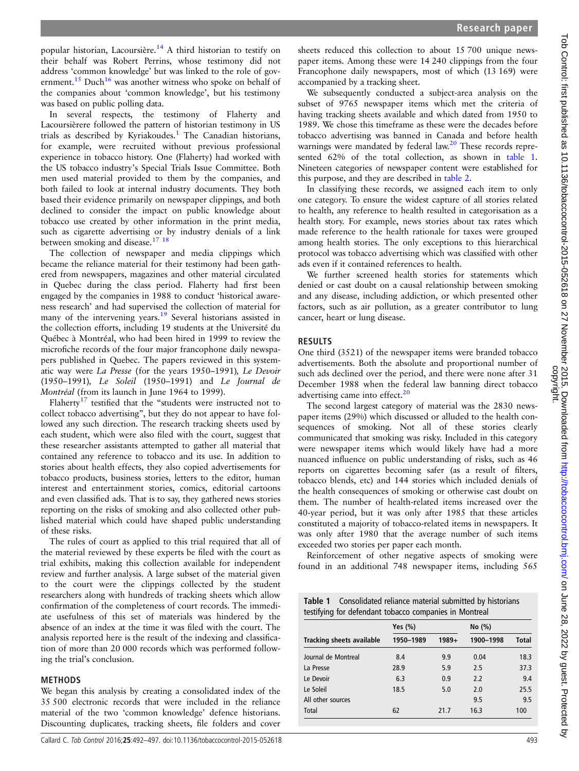popular historian, Lacoursière.[14](#page-5-0) A third historian to testify on their behalf was Robert Perrins, whose testimony did not address 'common knowledge' but was linked to the role of government.<sup>15</sup> Duch<sup>16</sup> was another witness who spoke on behalf of the companies about 'common knowledge', but his testimony was based on public polling data.

In several respects, the testimony of Flaherty and Lacoursièrere followed the pattern of historian testimony in US trials as described by Kyriakoudes.<sup>[1](#page-4-0)</sup> The Canadian historians, for example, were recruited without previous professional experience in tobacco history. One (Flaherty) had worked with the US tobacco industry's Special Trials Issue Committee. Both men used material provided to them by the companies, and both failed to look at internal industry documents. They both based their evidence primarily on newspaper clippings, and both declined to consider the impact on public knowledge about tobacco use created by other information in the print media, such as cigarette advertising or by industry denials of a link between smoking and disease.<sup>17</sup><sup>18</sup>

The collection of newspaper and media clippings which became the reliance material for their testimony had been gathered from newspapers, magazines and other material circulated in Quebec during the class period. Flaherty had first been engaged by the companies in 1988 to conduct 'historical awareness research' and had supervised the collection of material for many of the intervening years.<sup>[19](#page-5-0)</sup> Several historians assisted in the collection efforts, including 19 students at the Université du Québec à Montréal, who had been hired in 1999 to review the microfiche records of the four major francophone daily newspapers published in Quebec. The papers reviewed in this systematic way were La Presse (for the years 1950–1991), Le Devoir (1950–1991), Le Soleil (1950–1991) and Le Journal de Montréal (from its launch in June 1964 to 1999).

Flaherty<sup>[17](#page-5-0)</sup> testified that the "students were instructed not to collect tobacco advertising", but they do not appear to have followed any such direction. The research tracking sheets used by each student, which were also filed with the court, suggest that these researcher assistants attempted to gather all material that contained any reference to tobacco and its use. In addition to stories about health effects, they also copied advertisements for tobacco products, business stories, letters to the editor, human interest and entertainment stories, comics, editorial cartoons and even classified ads. That is to say, they gathered news stories reporting on the risks of smoking and also collected other published material which could have shaped public understanding of these risks.

The rules of court as applied to this trial required that all of the material reviewed by these experts be filed with the court as trial exhibits, making this collection available for independent review and further analysis. A large subset of the material given to the court were the clippings collected by the student researchers along with hundreds of tracking sheets which allow confirmation of the completeness of court records. The immediate usefulness of this set of materials was hindered by the absence of an index at the time it was filed with the court. The analysis reported here is the result of the indexing and classification of more than 20 000 records which was performed following the trial's conclusion.

#### METHODS

We began this analysis by creating a consolidated index of the 35 500 electronic records that were included in the reliance material of the two 'common knowledge' defence historians. Discounting duplicates, tracking sheets, file folders and cover

sheets reduced this collection to about 15 700 unique newspaper items. Among these were 14 240 clippings from the four Francophone daily newspapers, most of which (13 169) were accompanied by a tracking sheet.

We subsequently conducted a subject-area analysis on the subset of 9765 newspaper items which met the criteria of having tracking sheets available and which dated from 1950 to 1989. We chose this timeframe as these were the decades before tobacco advertising was banned in Canada and before health warnings were mandated by federal law.<sup>[20](#page-5-0)</sup> These records represented 62% of the total collection, as shown in table 1. Nineteen categories of newspaper content were established for this purpose, and they are described in [table 2](#page-2-0).

In classifying these records, we assigned each item to only one category. To ensure the widest capture of all stories related to health, any reference to health resulted in categorisation as a health story. For example, news stories about tax rates which made reference to the health rationale for taxes were grouped among health stories. The only exceptions to this hierarchical protocol was tobacco advertising which was classified with other ads even if it contained references to health.

We further screened health stories for statements which denied or cast doubt on a causal relationship between smoking and any disease, including addiction, or which presented other factors, such as air pollution, as a greater contributor to lung cancer, heart or lung disease.

#### RESULTS

One third (3521) of the newspaper items were branded tobacco advertisements. Both the absolute and proportional number of such ads declined over the period, and there were none after 31 December 1988 when the federal law banning direct tobacco advertising came into effect.<sup>[20](#page-5-0)</sup>

The second largest category of material was the 2830 newspaper items (29%) which discussed or alluded to the health consequences of smoking. Not all of these stories clearly communicated that smoking was risky. Included in this category were newspaper items which would likely have had a more nuanced influence on public understanding of risks, such as 46 reports on cigarettes becoming safer (as a result of filters, tobacco blends, etc) and 144 stories which included denials of the health consequences of smoking or otherwise cast doubt on them. The number of health-related items increased over the 40-year period, but it was only after 1985 that these articles constituted a majority of tobacco-related items in newspapers. It was only after 1980 that the average number of such items exceeded two stories per paper each month.

Reinforcement of other negative aspects of smoking were found in an additional 748 newspaper items, including 565

|                                                        | Table 1 Consolidated reliance material submitted by historians |  |  |  |  |  |
|--------------------------------------------------------|----------------------------------------------------------------|--|--|--|--|--|
| testifying for defendant tobacco companies in Montreal |                                                                |  |  |  |  |  |

|                           | Yes $(\% )$ |       | No $(\%)$ |              |  |
|---------------------------|-------------|-------|-----------|--------------|--|
| Tracking sheets available | 1950-1989   | 1989+ | 1900-1998 | <b>Total</b> |  |
| Journal de Montreal       | 8.4         | 9.9   | 0.04      | 18.3         |  |
| La Presse                 | 28.9        | 5.9   | 2.5       | 37.3         |  |
| Le Devoir                 | 6.3         | 0.9   | 2.2       | 9.4          |  |
| Le Soleil                 | 18.5        | 5.0   | 2.0       | 25.5         |  |
| All other sources         |             |       | 9.5       | 9.5          |  |
| <b>Total</b>              | 62          | 21.7  | 16.3      | 100          |  |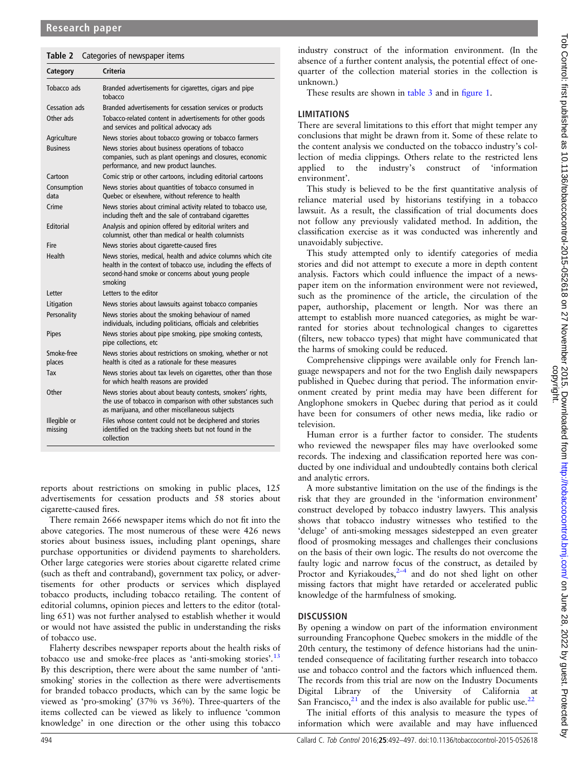<span id="page-2-0"></span>

|             | Table 2 Categories of newspaper items                  |  |  |  |  |  |
|-------------|--------------------------------------------------------|--|--|--|--|--|
| Category    | Criteria                                               |  |  |  |  |  |
| Tobacco ads | Branded advertisements for cigarettes, cigars and pipe |  |  |  |  |  |

|                         | tobacco                                                                                                                                                                                      |
|-------------------------|----------------------------------------------------------------------------------------------------------------------------------------------------------------------------------------------|
| Cessation ads           | Branded advertisements for cessation services or products                                                                                                                                    |
| Other ads               | Tobacco-related content in advertisements for other goods<br>and services and political advocacy ads                                                                                         |
| Agriculture             | News stories about tobacco growing or tobacco farmers                                                                                                                                        |
| <b>Business</b>         | News stories about business operations of tobacco<br>companies, such as plant openings and closures, economic<br>performance, and new product launches.                                      |
| Cartoon                 | Comic strip or other cartoons, including editorial cartoons                                                                                                                                  |
| Consumption<br>data     | News stories about quantities of tobacco consumed in<br>Quebec or elsewhere, without reference to health                                                                                     |
| Crime                   | News stories about criminal activity related to tobacco use,<br>including theft and the sale of contraband cigarettes                                                                        |
| Editorial               | Analysis and opinion offered by editorial writers and<br>columnist, other than medical or health columnists                                                                                  |
| Fire                    | News stories about cigarette-caused fires                                                                                                                                                    |
| Health                  | News stories, medical, health and advice columns which cite<br>health in the context of tobacco use, including the effects of<br>second-hand smoke or concerns about young people<br>smoking |
| Letter                  | Letters to the editor                                                                                                                                                                        |
| Litigation              | News stories about lawsuits against tobacco companies                                                                                                                                        |
| Personality             | News stories about the smoking behaviour of named<br>individuals, including politicians, officials and celebrities                                                                           |
| Pipes                   | News stories about pipe smoking, pipe smoking contests,<br>pipe collections, etc                                                                                                             |
| Smoke-free<br>places    | News stories about restrictions on smoking, whether or not<br>health is cited as a rationale for these measures                                                                              |
| Tax                     | News stories about tax levels on cigarettes, other than those<br>for which health reasons are provided                                                                                       |
| Other                   | News stories about about beauty contests, smokers' rights,<br>the use of tobacco in comparison with other substances such<br>as marijuana, and other miscellaneous subjects                  |
| Illegible or<br>missing | Files whose content could not be deciphered and stories<br>identified on the tracking sheets but not found in the<br>collection                                                              |

reports about restrictions on smoking in public places, 125 advertisements for cessation products and 58 stories about cigarette-caused fires.

There remain 2666 newspaper items which do not fit into the above categories. The most numerous of these were 426 news stories about business issues, including plant openings, share purchase opportunities or dividend payments to shareholders. Other large categories were stories about cigarette related crime (such as theft and contraband), government tax policy, or advertisements for other products or services which displayed tobacco products, including tobacco retailing. The content of editorial columns, opinion pieces and letters to the editor (totalling 651) was not further analysed to establish whether it would or would not have assisted the public in understanding the risks of tobacco use.

Flaherty describes newspaper reports about the health risks of tobacco use and smoke-free places as 'anti-smoking stories'. [13](#page-4-0) By this description, there were about the same number of 'antismoking' stories in the collection as there were advertisements for branded tobacco products, which can by the same logic be viewed as 'pro-smoking' (37% vs 36%). Three-quarters of the items collected can be viewed as likely to influence 'common knowledge' in one direction or the other using this tobacco

industry construct of the information environment. (In the absence of a further content analysis, the potential effect of onequarter of the collection material stories in the collection is unknown.)

These results are shown in [table 3](#page-3-0) and in fi[gure 1](#page-4-0).

## **LIMITATIONS**

There are several limitations to this effort that might temper any conclusions that might be drawn from it. Some of these relate to the content analysis we conducted on the tobacco industry's collection of media clippings. Others relate to the restricted lens applied to the industry's construct of 'information environment'.

This study is believed to be the first quantitative analysis of reliance material used by historians testifying in a tobacco lawsuit. As a result, the classification of trial documents does not follow any previously validated method. In addition, the classification exercise as it was conducted was inherently and unavoidably subjective.

This study attempted only to identify categories of media stories and did not attempt to execute a more in depth content analysis. Factors which could influence the impact of a newspaper item on the information environment were not reviewed, such as the prominence of the article, the circulation of the paper, authorship, placement or length. Nor was there an attempt to establish more nuanced categories, as might be warranted for stories about technological changes to cigarettes (filters, new tobacco types) that might have communicated that the harms of smoking could be reduced.

Comprehensive clippings were available only for French language newspapers and not for the two English daily newspapers published in Quebec during that period. The information environment created by print media may have been different for Anglophone smokers in Quebec during that period as it could have been for consumers of other news media, like radio or television.

Human error is a further factor to consider. The students who reviewed the newspaper files may have overlooked some records. The indexing and classification reported here was conducted by one individual and undoubtedly contains both clerical and analytic errors.

A more substantive limitation on the use of the findings is the risk that they are grounded in the 'information environment' construct developed by tobacco industry lawyers. This analysis shows that tobacco industry witnesses who testified to the 'deluge' of anti-smoking messages sidestepped an even greater flood of prosmoking messages and challenges their conclusions on the basis of their own logic. The results do not overcome the faulty logic and narrow focus of the construct, as detailed by Proctor and Kyriakoudes, $2-4$  $2-4$  and do not shed light on other missing factors that might have retarded or accelerated public knowledge of the harmfulness of smoking.

## **DISCUSSION**

By opening a window on part of the information environment surrounding Francophone Quebec smokers in the middle of the 20th century, the testimony of defence historians had the unintended consequence of facilitating further research into tobacco use and tobacco control and the factors which influenced them. The records from this trial are now on the Industry Documents Digital Library of the University of California at San Francisco, $2^1$  and the index is also available for public use.  $2^2$ 

The initial efforts of this analysis to measure the types of information which were available and may have influenced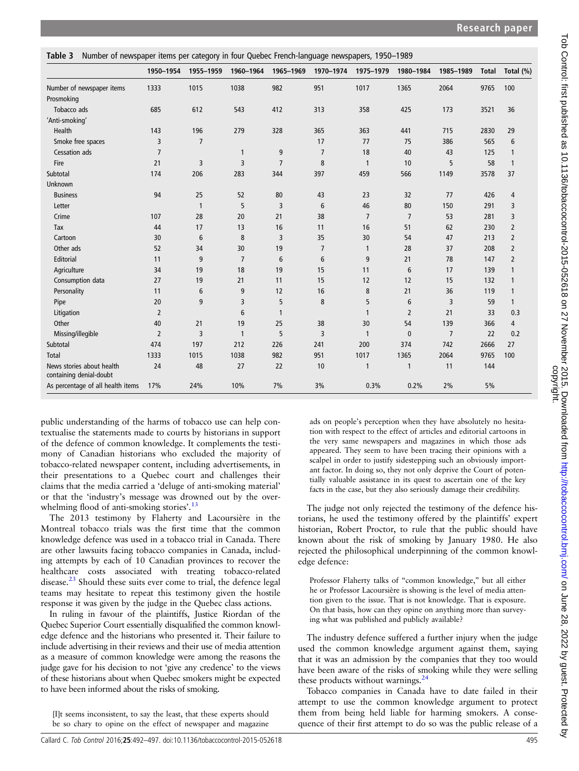<span id="page-3-0"></span>

|                                                      | 1950-1954      | 1955-1959      |                | 1960-1964 1965-1969 | 1970-1974 1975-1979 |                 | 1980-1984      | 1985-1989      | <b>Total</b> | Total (%)      |
|------------------------------------------------------|----------------|----------------|----------------|---------------------|---------------------|-----------------|----------------|----------------|--------------|----------------|
| Number of newspaper items                            | 1333           | 1015           | 1038           | 982                 | 951                 | 1017            | 1365           | 2064           | 9765         | 100            |
| Prosmoking                                           |                |                |                |                     |                     |                 |                |                |              |                |
| Tobacco ads                                          | 685            | 612            | 543            | 412                 | 313                 | 358             | 425            | 173            | 3521         | 36             |
| 'Anti-smoking'                                       |                |                |                |                     |                     |                 |                |                |              |                |
| <b>Health</b>                                        | 143            | 196            | 279            | 328                 | 365                 | 363             | 441            | 715            | 2830         | 29             |
| Smoke free spaces                                    | 3              | $\overline{7}$ |                |                     | 17                  | 77              | 75             | 386            | 565          | 6              |
| Cessation ads                                        | $\overline{7}$ |                | 1              | 9                   | $\overline{7}$      | 18              | 40             | 43             | 125          | $\mathbf{1}$   |
| Fire                                                 | 21             | 3              | 3              | $\overline{7}$      | 8                   | $\mathbf{1}$    | 10             | 5              | 58           | $\mathbf{1}$   |
| Subtotal                                             | 174            | 206            | 283            | 344                 | 397                 | 459             | 566            | 1149           | 3578         | 37             |
| Unknown                                              |                |                |                |                     |                     |                 |                |                |              |                |
| <b>Business</b>                                      | 94             | 25             | 52             | 80                  | 43                  | 23              | 32             | 77             | 426          | 4              |
| Letter                                               |                | $\mathbf{1}$   | 5              | 3                   | 6                   | 46              | 80             | 150            | 291          | 3              |
| Crime                                                | 107            | 28             | 20             | 21                  | 38                  | $7\overline{ }$ | $\overline{7}$ | 53             | 281          | 3              |
| Tax                                                  | 44             | 17             | 13             | 16                  | 11                  | 16              | 51             | 62             | 230          | $\overline{2}$ |
| Cartoon                                              | 30             | 6              | 8              | 3                   | 35                  | 30              | 54             | 47             | 213          | $\overline{2}$ |
| Other ads                                            | 52             | 34             | 30             | 19                  | $\overline{7}$      | $\mathbf{1}$    | 28             | 37             | 208          | $\overline{2}$ |
| Editorial                                            | 11             | 9              | $\overline{7}$ | $6\phantom{1}$      | 6                   | 9               | 21             | 78             | 147          | $\overline{2}$ |
| Agriculture                                          | 34             | 19             | 18             | 19                  | 15                  | 11              | 6              | 17             | 139          | $\mathbf{1}$   |
| Consumption data                                     | 27             | 19             | 21             | 11                  | 15                  | 12              | 12             | 15             | 132          | $\mathbf{1}$   |
| Personality                                          | 11             | 6              | 9              | 12                  | 16                  | 8               | 21             | 36             | 119          | $\mathbf{1}$   |
| Pipe                                                 | 20             | 9              | 3              | 5                   | 8                   | 5               | 6              | 3              | 59           | $\mathbf{1}$   |
| Litigation                                           | $\overline{2}$ |                | 6              | $\mathbf{1}$        |                     | $\mathbf{1}$    | $\overline{2}$ | 21             | 33           | 0.3            |
| Other                                                | 40             | 21             | 19             | 25                  | 38                  | 30              | 54             | 139            | 366          | $\overline{4}$ |
| Missing/illegible                                    | $\overline{2}$ | 3              | $\mathbf{1}$   | 5                   | 3                   | $\mathbf{1}$    | $\mathbf{0}$   | $\overline{7}$ | 22           | 0.2            |
| Subtotal                                             | 474            | 197            | 212            | 226                 | 241                 | 200             | 374            | 742            | 2666         | 27             |
| Total                                                | 1333           | 1015           | 1038           | 982                 | 951                 | 1017            | 1365           | 2064           | 9765         | 100            |
| News stories about health<br>containing denial-doubt | 24             | 48             | 27             | 22                  | 10                  | 1               | 1              | 11             | 144          |                |
| As percentage of all health items                    | 17%            | 24%            | 10%            | 7%                  | 3%                  | 0.3%            | 0.2%           | 2%             | 5%           |                |

public understanding of the harms of tobacco use can help contextualise the statements made to courts by historians in support of the defence of common knowledge. It complements the testimony of Canadian historians who excluded the majority of tobacco-related newspaper content, including advertisements, in their presentations to a Quebec court and challenges their claims that the media carried a 'deluge of anti-smoking material' or that the 'industry's message was drowned out by the over-whelming flood of anti-smoking stories'.<sup>[13](#page-4-0)</sup>

The 2013 testimony by Flaherty and Lacoursière in the Montreal tobacco trials was the first time that the common knowledge defence was used in a tobacco trial in Canada. There are other lawsuits facing tobacco companies in Canada, including attempts by each of 10 Canadian provinces to recover the healthcare costs associated with treating tobacco-related disease. $^{23}$  $^{23}$  $^{23}$  Should these suits ever come to trial, the defence legal teams may hesitate to repeat this testimony given the hostile response it was given by the judge in the Quebec class actions.

In ruling in favour of the plaintiffs, Justice Riordan of the Quebec Superior Court essentially disqualified the common knowledge defence and the historians who presented it. Their failure to include advertising in their reviews and their use of media attention as a measure of common knowledge were among the reasons the judge gave for his decision to not 'give any credence' to the views of these historians about when Quebec smokers might be expected to have been informed about the risks of smoking.

[I]t seems inconsistent, to say the least, that these experts should be so chary to opine on the effect of newspaper and magazine

ads on people's perception when they have absolutely no hesitation with respect to the effect of articles and editorial cartoons in the very same newspapers and magazines in which those ads appeared. They seem to have been tracing their opinions with a scalpel in order to justify sidestepping such an obviously important factor. In doing so, they not only deprive the Court of potentially valuable assistance in its quest to ascertain one of the key facts in the case, but they also seriously damage their credibility.

The judge not only rejected the testimony of the defence historians, he used the testimony offered by the plaintiffs' expert historian, Robert Proctor, to rule that the public should have known about the risk of smoking by January 1980. He also rejected the philosophical underpinning of the common knowledge defence:

Professor Flaherty talks of "common knowledge," but all either he or Professor Lacoursière is showing is the level of media attention given to the issue. That is not knowledge. That is exposure. On that basis, how can they opine on anything more than surveying what was published and publicly available?

The industry defence suffered a further injury when the judge used the common knowledge argument against them, saying that it was an admission by the companies that they too would have been aware of the risks of smoking while they were selling these products without warnings. $^{24}$  $^{24}$  $^{24}$ 

Tobacco companies in Canada have to date failed in their attempt to use the common knowledge argument to protect them from being held liable for harming smokers. A consequence of their first attempt to do so was the public release of a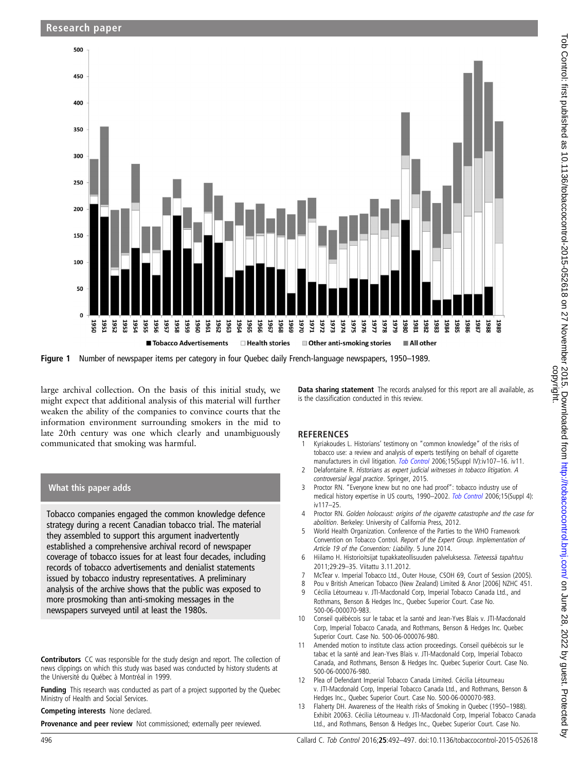<span id="page-4-0"></span>

Figure 1 Number of newspaper items per category in four Quebec daily French-language newspapers, 1950–1989.

large archival collection. On the basis of this initial study, we might expect that additional analysis of this material will further weaken the ability of the companies to convince courts that the information environment surrounding smokers in the mid to late 20th century was one which clearly and unambiguously communicated that smoking was harmful.

#### What this paper adds

Tobacco companies engaged the common knowledge defence strategy during a recent Canadian tobacco trial. The material they assembled to support this argument inadvertently established a comprehensive archival record of newspaper coverage of tobacco issues for at least four decades, including records of tobacco advertisements and denialist statements issued by tobacco industry representatives. A preliminary analysis of the archive shows that the public was exposed to more prosmoking than anti-smoking messages in the newspapers surveyed until at least the 1980s.

Contributors CC was responsible for the study design and report. The collection of news clippings on which this study was based was conducted by history students at the Université du Québec à Montréal in 1999.

Funding This research was conducted as part of a project supported by the Quebec Ministry of Health and Social Services.

Competing interests None declared.

**Provenance and peer review** Not commissioned; externally peer reviewed.

Data sharing statement The records analysed for this report are all available, as is the classification conducted in this review.

#### **REFERENCES**

- Kyriakoudes L. Historians' testimony on "common knowledge" of the risks of tobacco use: a review and analysis of experts testifying on behalf of cigarette manufacturers in civil litigation. [Tob Control](http://dx.doi.org/10.1136/tc.2005.014076) 2006;15(Suppl IV):iv107-16. iv11.
- 2 Delafontaine R. Historians as expert judicial witnesses in tobacco litigation. A controversial legal practice. Springer, 2015.
- 3 Proctor RN. "Everyone knew but no one had proof": tobacco industry use of medical history expertise in US courts, 1990–2002. [Tob Control](http://dx.doi.org/10.1136/tc.2004.009928) 2006;15(Suppl 4): iv117–25.
- 4 Proctor RN. Golden holocaust: origins of the cigarette catastrophe and the case for abolition. Berkeley: University of California Press, 2012.
- 5 World Health Organization. Conference of the Parties to the WHO Framework Convention on Tobacco Control. Report of the Expert Group. Implementation of Article 19 of the Convention: Liability. 5 June 2014.
- 6 Hiilamo H. Historioitsijat tupakkateollisuuden palveluksessa. Tieteessä tapahtuu 2011;29:29–35. Viitattu 3.11.2012.
- 7 McTear v. Imperial Tobacco Ltd., Outer House, CSOH 69, Court of Session (2005).
- 8 Pou v British American Tobacco (New Zealand) Limited & Anor [2006] NZHC 451.
- 9 Cécilia Létourneau v. JTI-Macdonald Corp, Imperial Tobacco Canada Ltd., and Rothmans, Benson & Hedges Inc., Quebec Superior Court. Case No. 500-06-000070-983.
- 10 Conseil québécois sur le tabac et la santé and Jean-Yves Blais v. JTI-Macdonald Corp, Imperial Tobacco Canada, and Rothmans, Benson & Hedges Inc. Quebec Superior Court. Case No. 500-06-000076-980.
- 11 Amended motion to institute class action proceedings. Conseil québécois sur le tabac et la santé and Jean-Yves Blais v. JTI-Macdonald Corp, Imperial Tobacco Canada, and Rothmans, Benson & Hedges Inc. Quebec Superior Court. Case No. 500-06-000076-980.
- 12 Plea of Defendant Imperial Tobacco Canada Limited. Cécilia Létourneau v. JTI-Macdonald Corp, Imperial Tobacco Canada Ltd., and Rothmans, Benson & Hedges Inc., Quebec Superior Court. Case No. 500-06-000070-983.
- Flaherty DH. Awareness of the Health risks of Smoking in Quebec (1950–1988). Exhibit 20063. Cécilia Létourneau v. JTI-Macdonald Corp, Imperial Tobacco Canada Ltd., and Rothmans, Benson & Hedges Inc., Quebec Superior Court. Case No.